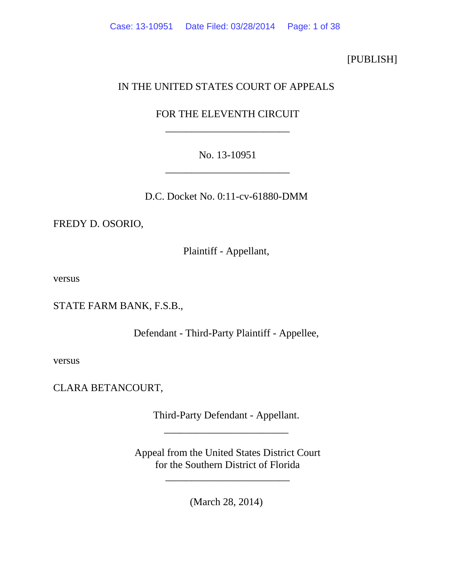# [PUBLISH]

# IN THE UNITED STATES COURT OF APPEALS

# FOR THE ELEVENTH CIRCUIT \_\_\_\_\_\_\_\_\_\_\_\_\_\_\_\_\_\_\_\_\_\_\_\_

# No. 13-10951 \_\_\_\_\_\_\_\_\_\_\_\_\_\_\_\_\_\_\_\_\_\_\_\_

D.C. Docket No. 0:11-cv-61880-DMM

FREDY D. OSORIO,

Plaintiff - Appellant,

versus

STATE FARM BANK, F.S.B.,

Defendant - Third-Party Plaintiff - Appellee,

versus

CLARA BETANCOURT,

Third-Party Defendant - Appellant. \_\_\_\_\_\_\_\_\_\_\_\_\_\_\_\_\_\_\_\_\_\_\_\_

Appeal from the United States District Court for the Southern District of Florida

\_\_\_\_\_\_\_\_\_\_\_\_\_\_\_\_\_\_\_\_\_\_\_\_

(March 28, 2014)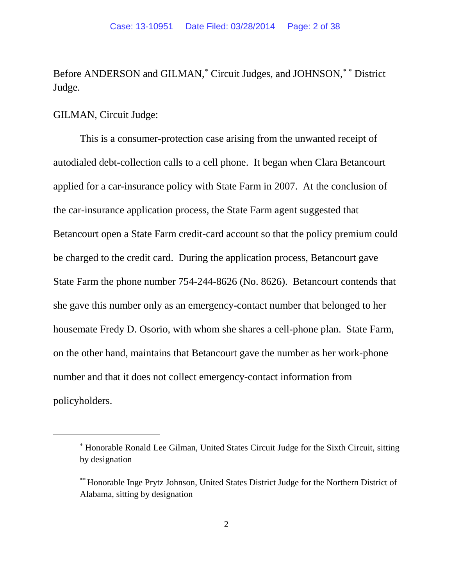Before ANDERSON and GILMAN,<sup>\*</sup> Circuit Judges, and JOHNSON,<sup>\*\*</sup> District Judge.

## GILMAN, Circuit Judge:

 $\overline{a}$ 

This is a consumer-protection case arising from the unwanted receipt of autodialed debt-collection calls to a cell phone. It began when Clara Betancourt applied for a car-insurance policy with State Farm in 2007. At the conclusion of the car-insurance application process, the State Farm agent suggested that Betancourt open a State Farm credit-card account so that the policy premium could be charged to the credit card. During the application process, Betancourt gave State Farm the phone number 754-244-8626 (No. 8626). Betancourt contends that she gave this number only as an emergency-contact number that belonged to her housemate Fredy D. Osorio, with whom she shares a cell-phone plan. State Farm, on the other hand, maintains that Betancourt gave the number as her work-phone number and that it does not collect emergency-contact information from policyholders.

<sup>∗</sup> Honorable Ronald Lee Gilman, United States Circuit Judge for the Sixth Circuit, sitting by designation

<sup>∗∗</sup> Honorable Inge Prytz Johnson, United States District Judge for the Northern District of Alabama, sitting by designation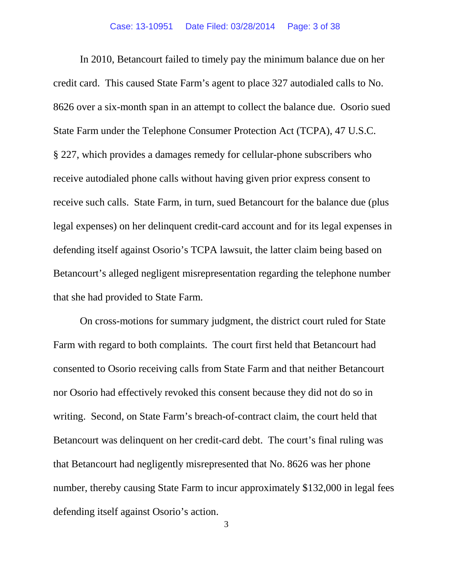In 2010, Betancourt failed to timely pay the minimum balance due on her credit card. This caused State Farm's agent to place 327 autodialed calls to No. 8626 over a six-month span in an attempt to collect the balance due. Osorio sued State Farm under the Telephone Consumer Protection Act (TCPA), 47 U.S.C. § 227, which provides a damages remedy for cellular-phone subscribers who receive autodialed phone calls without having given prior express consent to receive such calls. State Farm, in turn, sued Betancourt for the balance due (plus legal expenses) on her delinquent credit-card account and for its legal expenses in defending itself against Osorio's TCPA lawsuit, the latter claim being based on Betancourt's alleged negligent misrepresentation regarding the telephone number that she had provided to State Farm.

On cross-motions for summary judgment, the district court ruled for State Farm with regard to both complaints. The court first held that Betancourt had consented to Osorio receiving calls from State Farm and that neither Betancourt nor Osorio had effectively revoked this consent because they did not do so in writing. Second, on State Farm's breach-of-contract claim, the court held that Betancourt was delinquent on her credit-card debt. The court's final ruling was that Betancourt had negligently misrepresented that No. 8626 was her phone number, thereby causing State Farm to incur approximately \$132,000 in legal fees defending itself against Osorio's action.

3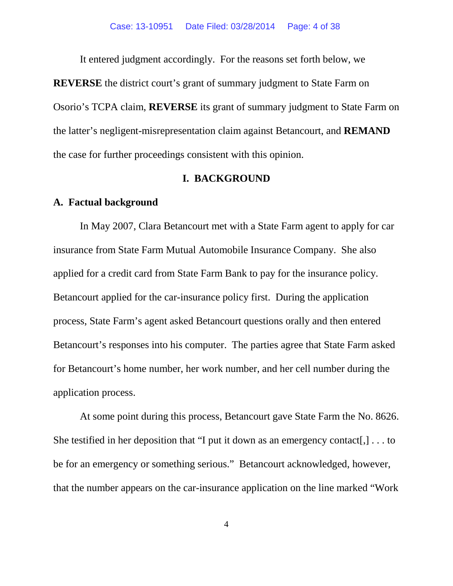It entered judgment accordingly. For the reasons set forth below, we **REVERSE** the district court's grant of summary judgment to State Farm on Osorio's TCPA claim, **REVERSE** its grant of summary judgment to State Farm on the latter's negligent-misrepresentation claim against Betancourt, and **REMAND** the case for further proceedings consistent with this opinion.

#### **I. BACKGROUND**

#### **A. Factual background**

In May 2007, Clara Betancourt met with a State Farm agent to apply for car insurance from State Farm Mutual Automobile Insurance Company. She also applied for a credit card from State Farm Bank to pay for the insurance policy. Betancourt applied for the car-insurance policy first. During the application process, State Farm's agent asked Betancourt questions orally and then entered Betancourt's responses into his computer. The parties agree that State Farm asked for Betancourt's home number, her work number, and her cell number during the application process.

At some point during this process, Betancourt gave State Farm the No. 8626. She testified in her deposition that "I put it down as an emergency contact[,] . . . to be for an emergency or something serious." Betancourt acknowledged, however, that the number appears on the car-insurance application on the line marked "Work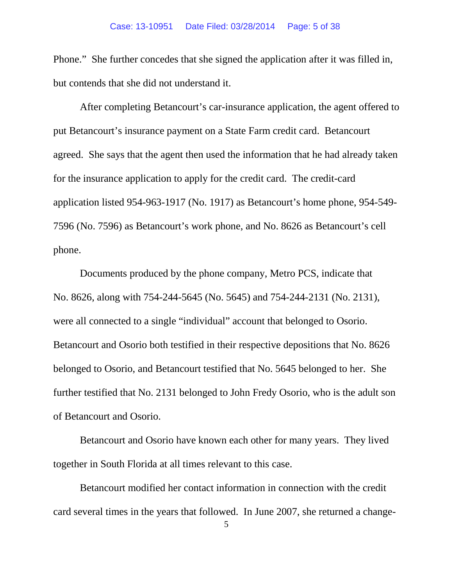Phone." She further concedes that she signed the application after it was filled in, but contends that she did not understand it.

After completing Betancourt's car-insurance application, the agent offered to put Betancourt's insurance payment on a State Farm credit card. Betancourt agreed. She says that the agent then used the information that he had already taken for the insurance application to apply for the credit card. The credit-card application listed 954-963-1917 (No. 1917) as Betancourt's home phone, 954-549- 7596 (No. 7596) as Betancourt's work phone, and No. 8626 as Betancourt's cell phone.

Documents produced by the phone company, Metro PCS, indicate that No. 8626, along with 754-244-5645 (No. 5645) and 754-244-2131 (No. 2131), were all connected to a single "individual" account that belonged to Osorio. Betancourt and Osorio both testified in their respective depositions that No. 8626 belonged to Osorio, and Betancourt testified that No. 5645 belonged to her. She further testified that No. 2131 belonged to John Fredy Osorio, who is the adult son of Betancourt and Osorio.

Betancourt and Osorio have known each other for many years. They lived together in South Florida at all times relevant to this case.

Betancourt modified her contact information in connection with the credit card several times in the years that followed. In June 2007, she returned a change-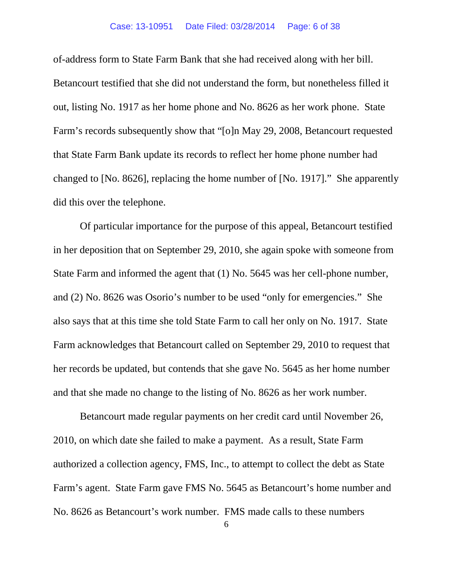#### Case: 13-10951 Date Filed: 03/28/2014 Page: 6 of 38

of-address form to State Farm Bank that she had received along with her bill. Betancourt testified that she did not understand the form, but nonetheless filled it out, listing No. 1917 as her home phone and No. 8626 as her work phone. State Farm's records subsequently show that "[o]n May 29, 2008, Betancourt requested that State Farm Bank update its records to reflect her home phone number had changed to [No. 8626], replacing the home number of [No. 1917]." She apparently did this over the telephone.

Of particular importance for the purpose of this appeal, Betancourt testified in her deposition that on September 29, 2010, she again spoke with someone from State Farm and informed the agent that (1) No. 5645 was her cell-phone number, and (2) No. 8626 was Osorio's number to be used "only for emergencies." She also says that at this time she told State Farm to call her only on No. 1917. State Farm acknowledges that Betancourt called on September 29, 2010 to request that her records be updated, but contends that she gave No. 5645 as her home number and that she made no change to the listing of No. 8626 as her work number.

Betancourt made regular payments on her credit card until November 26, 2010, on which date she failed to make a payment. As a result, State Farm authorized a collection agency, FMS, Inc., to attempt to collect the debt as State Farm's agent. State Farm gave FMS No. 5645 as Betancourt's home number and No. 8626 as Betancourt's work number. FMS made calls to these numbers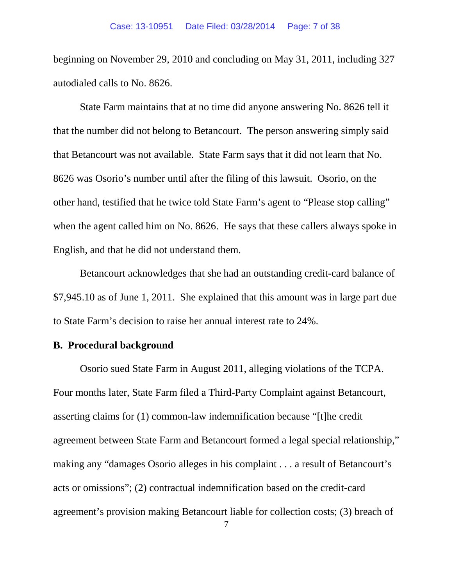beginning on November 29, 2010 and concluding on May 31, 2011, including 327 autodialed calls to No. 8626.

State Farm maintains that at no time did anyone answering No. 8626 tell it that the number did not belong to Betancourt. The person answering simply said that Betancourt was not available. State Farm says that it did not learn that No. 8626 was Osorio's number until after the filing of this lawsuit. Osorio, on the other hand, testified that he twice told State Farm's agent to "Please stop calling" when the agent called him on No. 8626. He says that these callers always spoke in English, and that he did not understand them.

Betancourt acknowledges that she had an outstanding credit-card balance of \$7,945.10 as of June 1, 2011. She explained that this amount was in large part due to State Farm's decision to raise her annual interest rate to 24%.

#### **B. Procedural background**

Osorio sued State Farm in August 2011, alleging violations of the TCPA. Four months later, State Farm filed a Third-Party Complaint against Betancourt, asserting claims for (1) common-law indemnification because "[t]he credit agreement between State Farm and Betancourt formed a legal special relationship," making any "damages Osorio alleges in his complaint . . . a result of Betancourt's acts or omissions"; (2) contractual indemnification based on the credit-card agreement's provision making Betancourt liable for collection costs; (3) breach of

7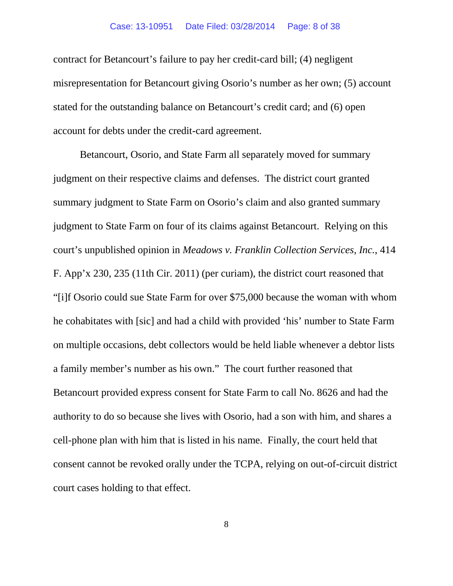contract for Betancourt's failure to pay her credit-card bill; (4) negligent misrepresentation for Betancourt giving Osorio's number as her own; (5) account stated for the outstanding balance on Betancourt's credit card; and (6) open account for debts under the credit-card agreement.

Betancourt, Osorio, and State Farm all separately moved for summary judgment on their respective claims and defenses. The district court granted summary judgment to State Farm on Osorio's claim and also granted summary judgment to State Farm on four of its claims against Betancourt. Relying on this court's unpublished opinion in *Meadows v. Franklin Collection Services, Inc.*, 414 F. App'x 230, 235 (11th Cir. 2011) (per curiam), the district court reasoned that "[i]f Osorio could sue State Farm for over \$75,000 because the woman with whom he cohabitates with [sic] and had a child with provided 'his' number to State Farm on multiple occasions, debt collectors would be held liable whenever a debtor lists a family member's number as his own." The court further reasoned that Betancourt provided express consent for State Farm to call No. 8626 and had the authority to do so because she lives with Osorio, had a son with him, and shares a cell-phone plan with him that is listed in his name. Finally, the court held that consent cannot be revoked orally under the TCPA, relying on out-of-circuit district court cases holding to that effect.

8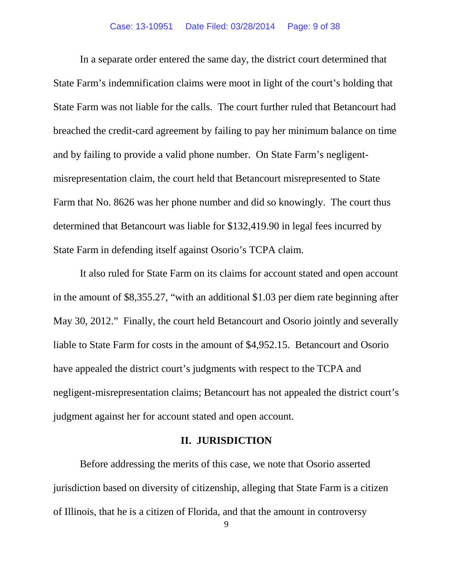In a separate order entered the same day, the district court determined that State Farm's indemnification claims were moot in light of the court's holding that State Farm was not liable for the calls. The court further ruled that Betancourt had breached the credit-card agreement by failing to pay her minimum balance on time and by failing to provide a valid phone number. On State Farm's negligentmisrepresentation claim, the court held that Betancourt misrepresented to State Farm that No. 8626 was her phone number and did so knowingly. The court thus determined that Betancourt was liable for \$132,419.90 in legal fees incurred by State Farm in defending itself against Osorio's TCPA claim.

It also ruled for State Farm on its claims for account stated and open account in the amount of \$8,355.27, "with an additional \$1.03 per diem rate beginning after May 30, 2012." Finally, the court held Betancourt and Osorio jointly and severally liable to State Farm for costs in the amount of \$4,952.15. Betancourt and Osorio have appealed the district court's judgments with respect to the TCPA and negligent-misrepresentation claims; Betancourt has not appealed the district court's judgment against her for account stated and open account.

## **II. JURISDICTION**

Before addressing the merits of this case, we note that Osorio asserted jurisdiction based on diversity of citizenship, alleging that State Farm is a citizen of Illinois, that he is a citizen of Florida, and that the amount in controversy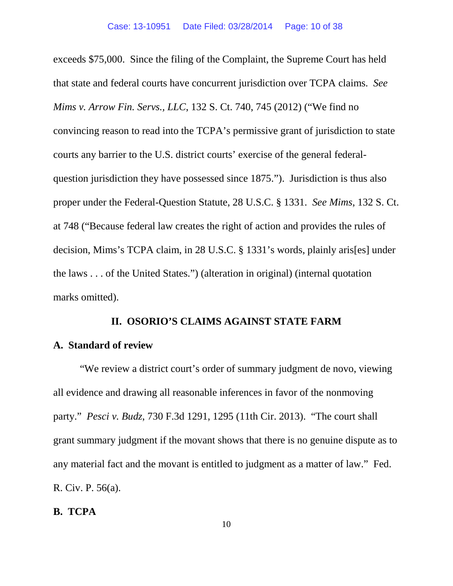exceeds \$75,000. Since the filing of the Complaint, the Supreme Court has held that state and federal courts have concurrent jurisdiction over TCPA claims. *See Mims v. Arrow Fin. Servs., LLC*, 132 S. Ct. 740, 745 (2012) ("We find no convincing reason to read into the TCPA's permissive grant of jurisdiction to state courts any barrier to the U.S. district courts' exercise of the general federalquestion jurisdiction they have possessed since 1875."). Jurisdiction is thus also proper under the Federal-Question Statute, 28 U.S.C. § 1331. *See Mims*, 132 S. Ct. at 748 ("Because federal law creates the right of action and provides the rules of decision, Mims's TCPA claim, in 28 U.S.C. § 1331's words, plainly aris[es] under the laws . . . of the United States.") (alteration in original) (internal quotation marks omitted).

## **II. OSORIO'S CLAIMS AGAINST STATE FARM**

### **A. Standard of review**

"We review a district court's order of summary judgment de novo, viewing all evidence and drawing all reasonable inferences in favor of the nonmoving party." *Pesci v. Budz*, 730 F.3d 1291, 1295 (11th Cir. 2013). "The court shall grant summary judgment if the movant shows that there is no genuine dispute as to any material fact and the movant is entitled to judgment as a matter of law." Fed. R. Civ. P. 56(a).

## **B. TCPA**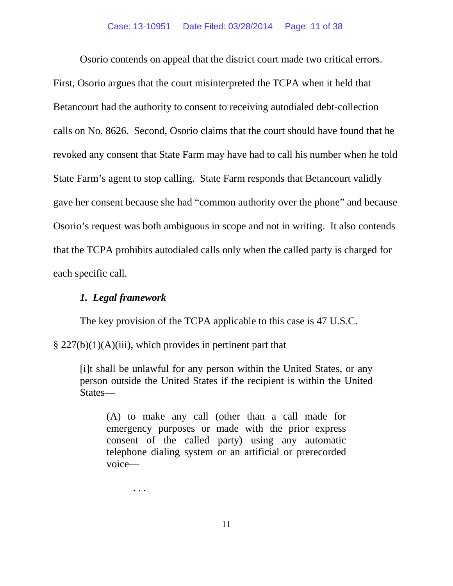Osorio contends on appeal that the district court made two critical errors. First, Osorio argues that the court misinterpreted the TCPA when it held that Betancourt had the authority to consent to receiving autodialed debt-collection calls on No. 8626. Second, Osorio claims that the court should have found that he revoked any consent that State Farm may have had to call his number when he told State Farm's agent to stop calling. State Farm responds that Betancourt validly gave her consent because she had "common authority over the phone" and because Osorio's request was both ambiguous in scope and not in writing. It also contends that the TCPA prohibits autodialed calls only when the called party is charged for each specific call.

## *1. Legal framework*

. . .

The key provision of the TCPA applicable to this case is 47 U.S.C.

 $\S 227(b)(1)(A)(iii)$ , which provides in pertinent part that

[i]t shall be unlawful for any person within the United States, or any person outside the United States if the recipient is within the United States—

(A) to make any call (other than a call made for emergency purposes or made with the prior express consent of the called party) using any automatic telephone dialing system or an artificial or prerecorded voice—

11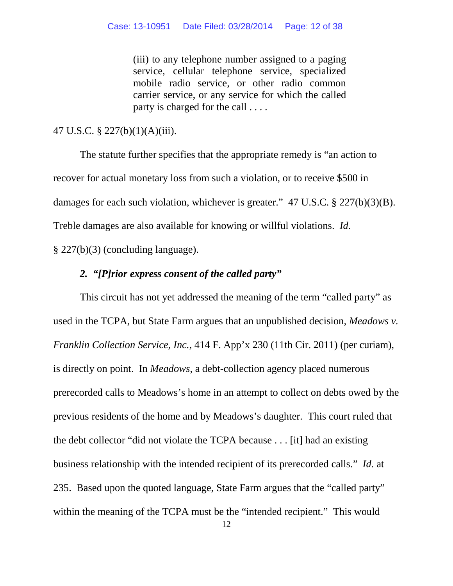(iii) to any telephone number assigned to a paging service, cellular telephone service, specialized mobile radio service, or other radio common carrier service, or any service for which the called party is charged for the call . . . .

## 47 U.S.C. § 227(b)(1)(A)(iii).

The statute further specifies that the appropriate remedy is "an action to recover for actual monetary loss from such a violation, or to receive \$500 in damages for each such violation, whichever is greater." 47 U.S.C. § 227(b)(3)(B). Treble damages are also available for knowing or willful violations. *Id.* § 227(b)(3) (concluding language).

## *2. "[P]rior express consent of the called party"*

This circuit has not yet addressed the meaning of the term "called party" as used in the TCPA, but State Farm argues that an unpublished decision, *Meadows v. Franklin Collection Service, Inc.*, 414 F. App'x 230 (11th Cir. 2011) (per curiam), is directly on point. In *Meadows*, a debt-collection agency placed numerous prerecorded calls to Meadows's home in an attempt to collect on debts owed by the previous residents of the home and by Meadows's daughter. This court ruled that the debt collector "did not violate the TCPA because . . . [it] had an existing business relationship with the intended recipient of its prerecorded calls." *Id.* at 235. Based upon the quoted language, State Farm argues that the "called party" within the meaning of the TCPA must be the "intended recipient." This would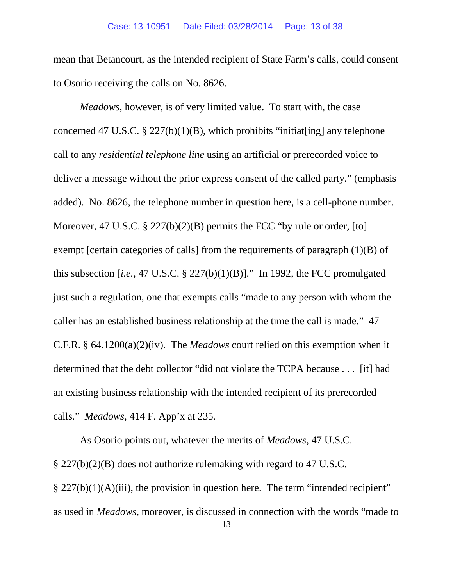mean that Betancourt, as the intended recipient of State Farm's calls, could consent to Osorio receiving the calls on No. 8626.

*Meadows*, however, is of very limited value. To start with, the case concerned 47 U.S.C.  $\S 227(b)(1)(B)$ , which prohibits "initiat[ing] any telephone call to any *residential telephone line* using an artificial or prerecorded voice to deliver a message without the prior express consent of the called party." (emphasis added). No. 8626, the telephone number in question here, is a cell-phone number. Moreover, 47 U.S.C.  $\S$  227(b)(2)(B) permits the FCC "by rule or order, [to] exempt [certain categories of calls] from the requirements of paragraph (1)(B) of this subsection  $[i.e., 47 \text{ U.S.C. } § 227(b)(1)(B)]$ ." In 1992, the FCC promulgated just such a regulation, one that exempts calls "made to any person with whom the caller has an established business relationship at the time the call is made." 47 C.F.R. § 64.1200(a)(2)(iv). The *Meadows* court relied on this exemption when it determined that the debt collector "did not violate the TCPA because . . . [it] had an existing business relationship with the intended recipient of its prerecorded calls." *Meadows*, 414 F. App'x at 235.

As Osorio points out, whatever the merits of *Meadows*, 47 U.S.C. § 227(b)(2)(B) does not authorize rulemaking with regard to 47 U.S.C.  $\S 227(b)(1)(A)(iii)$ , the provision in question here. The term "intended recipient" as used in *Meadows*, moreover, is discussed in connection with the words "made to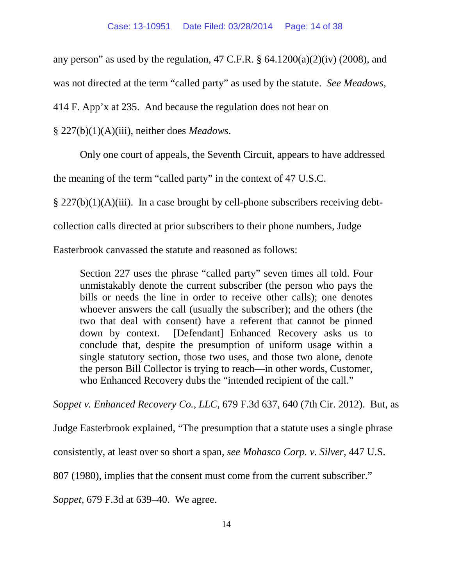any person" as used by the regulation,  $47 \text{ C.F.R. }$  §  $64.1200(a)(2)(iv)$  (2008), and

was not directed at the term "called party" as used by the statute. *See Meadows*,

414 F. App'x at 235. And because the regulation does not bear on

§ 227(b)(1)(A)(iii), neither does *Meadows*.

Only one court of appeals, the Seventh Circuit, appears to have addressed

the meaning of the term "called party" in the context of 47 U.S.C.

 $\S 227(b)(1)(A)(iii)$ . In a case brought by cell-phone subscribers receiving debt-

collection calls directed at prior subscribers to their phone numbers, Judge

Easterbrook canvassed the statute and reasoned as follows:

Section 227 uses the phrase "called party" seven times all told. Four unmistakably denote the current subscriber (the person who pays the bills or needs the line in order to receive other calls); one denotes whoever answers the call (usually the subscriber); and the others (the two that deal with consent) have a referent that cannot be pinned down by context. [Defendant] Enhanced Recovery asks us to conclude that, despite the presumption of uniform usage within a single statutory section, those two uses, and those two alone, denote the person Bill Collector is trying to reach—in other words, Customer, who Enhanced Recovery dubs the "intended recipient of the call."

*Soppet v. Enhanced Recovery Co., LLC*, 679 F.3d 637, 640 (7th Cir. 2012). But, as

Judge Easterbrook explained, "The presumption that a statute uses a single phrase

consistently, at least over so short a span, *see Mohasco Corp. v. Silver*, 447 U.S.

807 (1980), implies that the consent must come from the current subscriber."

*Soppet*, 679 F.3d at 639–40. We agree.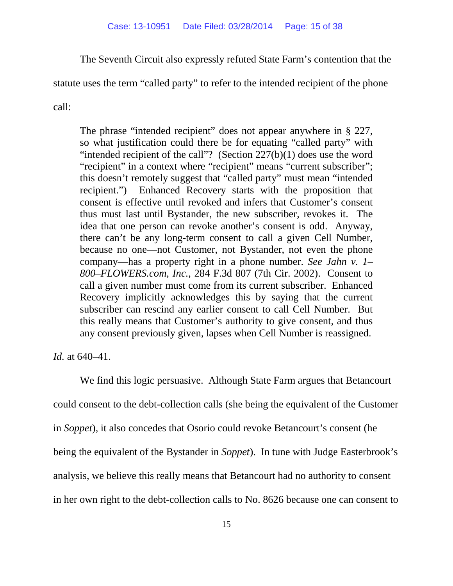The Seventh Circuit also expressly refuted State Farm's contention that the

statute uses the term "called party" to refer to the intended recipient of the phone

call:

The phrase "intended recipient" does not appear anywhere in § 227, so what justification could there be for equating "called party" with "intended recipient of the call"? (Section  $227(b)(1)$  does use the word "recipient" in a context where "recipient" means "current subscriber"; this doesn't remotely suggest that "called party" must mean "intended recipient.") Enhanced Recovery starts with the proposition that consent is effective until revoked and infers that Customer's consent thus must last until Bystander, the new subscriber, revokes it. The idea that one person can revoke another's consent is odd. Anyway, there can't be any long-term consent to call a given Cell Number, because no one—not Customer, not Bystander, not even the phone company—has a property right in a phone number. *See Jahn v. 1– 800–FLOWERS.com, Inc.*, 284 F.3d 807 (7th Cir. 2002). Consent to call a given number must come from its current subscriber. Enhanced Recovery implicitly acknowledges this by saying that the current subscriber can rescind any earlier consent to call Cell Number. But this really means that Customer's authority to give consent, and thus any consent previously given, lapses when Cell Number is reassigned.

*Id.* at 640–41.

We find this logic persuasive. Although State Farm argues that Betancourt could consent to the debt-collection calls (she being the equivalent of the Customer in *Soppet*), it also concedes that Osorio could revoke Betancourt's consent (he being the equivalent of the Bystander in *Soppet*). In tune with Judge Easterbrook's analysis, we believe this really means that Betancourt had no authority to consent in her own right to the debt-collection calls to No. 8626 because one can consent to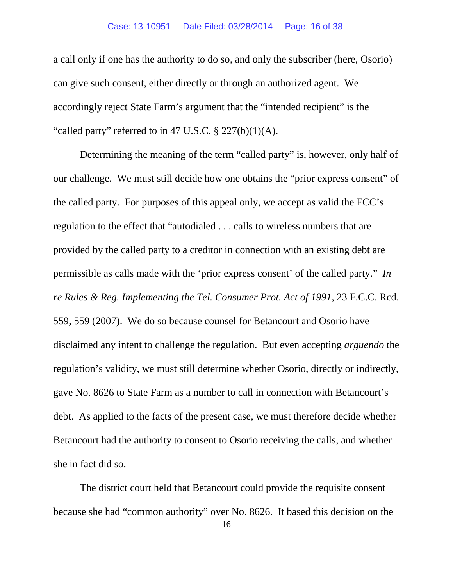a call only if one has the authority to do so, and only the subscriber (here, Osorio) can give such consent, either directly or through an authorized agent. We accordingly reject State Farm's argument that the "intended recipient" is the "called party" referred to in 47 U.S.C.  $\S 227(b)(1)(A)$ .

Determining the meaning of the term "called party" is, however, only half of our challenge. We must still decide how one obtains the "prior express consent" of the called party. For purposes of this appeal only, we accept as valid the FCC's regulation to the effect that "autodialed . . . calls to wireless numbers that are provided by the called party to a creditor in connection with an existing debt are permissible as calls made with the 'prior express consent' of the called party." *In re Rules & Reg. Implementing the Tel. Consumer Prot. Act of 1991*, 23 F.C.C. Rcd. 559, 559 (2007). We do so because counsel for Betancourt and Osorio have disclaimed any intent to challenge the regulation. But even accepting *arguendo* the regulation's validity, we must still determine whether Osorio, directly or indirectly, gave No. 8626 to State Farm as a number to call in connection with Betancourt's debt. As applied to the facts of the present case, we must therefore decide whether Betancourt had the authority to consent to Osorio receiving the calls, and whether she in fact did so.

The district court held that Betancourt could provide the requisite consent because she had "common authority" over No. 8626. It based this decision on the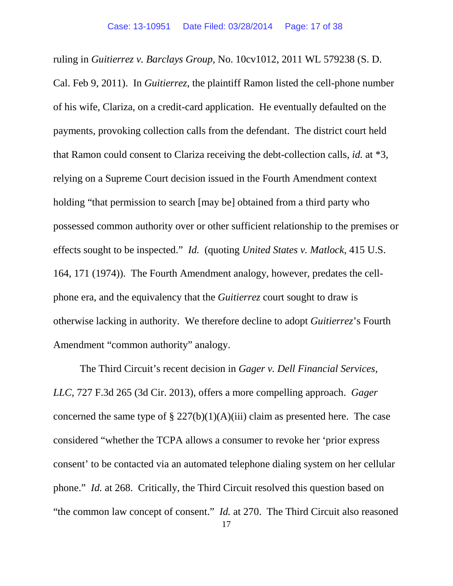ruling in *Guitierrez v. Barclays Group*, No. 10cv1012, 2011 WL 579238 (S. D. Cal. Feb 9, 2011). In *Guitierrez*, the plaintiff Ramon listed the cell-phone number of his wife, Clariza, on a credit-card application. He eventually defaulted on the payments, provoking collection calls from the defendant. The district court held that Ramon could consent to Clariza receiving the debt-collection calls, *id.* at \*3, relying on a Supreme Court decision issued in the Fourth Amendment context holding "that permission to search [may be] obtained from a third party who possessed common authority over or other sufficient relationship to the premises or effects sought to be inspected." *Id.* (quoting *United States v. Matlock*, 415 U.S. 164, 171 (1974)). The Fourth Amendment analogy, however, predates the cellphone era, and the equivalency that the *Guitierrez* court sought to draw is otherwise lacking in authority. We therefore decline to adopt *Guitierrez*'s Fourth Amendment "common authority" analogy.

The Third Circuit's recent decision in *Gager v. Dell Financial Services, LLC*, 727 F.3d 265 (3d Cir. 2013), offers a more compelling approach. *Gager* concerned the same type of §  $227(b)(1)(A)(iii)$  claim as presented here. The case considered "whether the TCPA allows a consumer to revoke her 'prior express consent' to be contacted via an automated telephone dialing system on her cellular phone." *Id.* at 268. Critically, the Third Circuit resolved this question based on "the common law concept of consent." *Id.* at 270. The Third Circuit also reasoned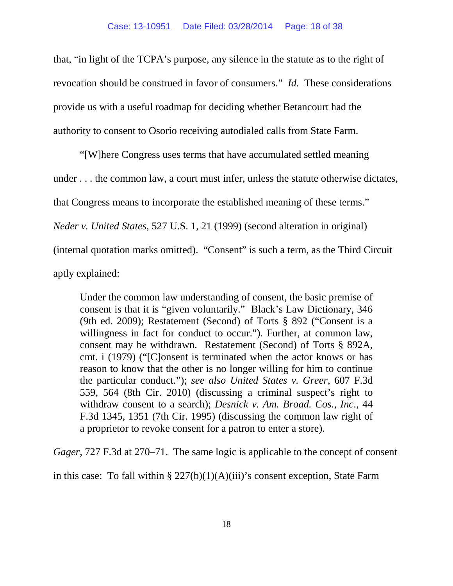that, "in light of the TCPA's purpose, any silence in the statute as to the right of revocation should be construed in favor of consumers." *Id.* These considerations provide us with a useful roadmap for deciding whether Betancourt had the authority to consent to Osorio receiving autodialed calls from State Farm.

"[W]here Congress uses terms that have accumulated settled meaning under . . . the common law, a court must infer, unless the statute otherwise dictates, that Congress means to incorporate the established meaning of these terms." *Neder v. United States*, 527 U.S. 1, 21 (1999) (second alteration in original) (internal quotation marks omitted). "Consent" is such a term, as the Third Circuit aptly explained:

Under the common law understanding of consent, the basic premise of consent is that it is "given voluntarily." Black's Law Dictionary, 346 (9th ed. 2009); Restatement (Second) of Torts § 892 ("Consent is a willingness in fact for conduct to occur."). Further, at common law, consent may be withdrawn. Restatement (Second) of Torts § 892A, cmt. i (1979) ("[C]onsent is terminated when the actor knows or has reason to know that the other is no longer willing for him to continue the particular conduct."); *see also United States v. Greer*, 607 F.3d 559, 564 (8th Cir. 2010) (discussing a criminal suspect's right to withdraw consent to a search); *Desnick v. Am. Broad. Cos., Inc*., 44 F.3d 1345, 1351 (7th Cir. 1995) (discussing the common law right of a proprietor to revoke consent for a patron to enter a store).

*Gager*, 727 F.3d at 270–71. The same logic is applicable to the concept of consent

in this case: To fall within  $\S 227(b)(1)(A)(iii)$ 's consent exception, State Farm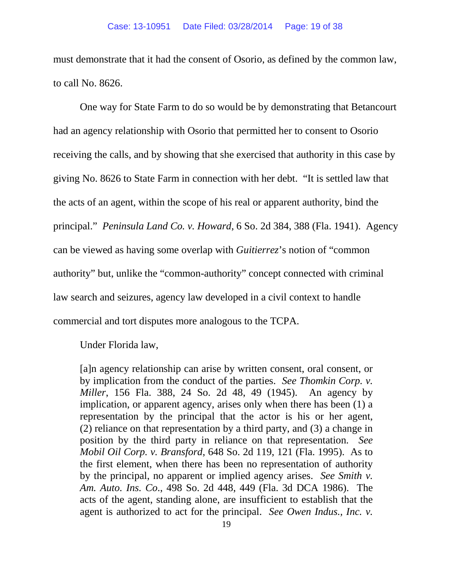must demonstrate that it had the consent of Osorio, as defined by the common law, to call No. 8626.

One way for State Farm to do so would be by demonstrating that Betancourt had an agency relationship with Osorio that permitted her to consent to Osorio receiving the calls, and by showing that she exercised that authority in this case by giving No. 8626 to State Farm in connection with her debt. "It is settled law that the acts of an agent, within the scope of his real or apparent authority, bind the principal." *Peninsula Land Co. v. Howard*, 6 So. 2d 384, 388 (Fla. 1941). Agency can be viewed as having some overlap with *Guitierrez*'s notion of "common authority" but, unlike the "common-authority" concept connected with criminal law search and seizures, agency law developed in a civil context to handle commercial and tort disputes more analogous to the TCPA.

Under Florida law,

[a]n agency relationship can arise by written consent, oral consent, or by implication from the conduct of the parties. *See Thomkin Corp. v. Miller*, 156 Fla. 388, 24 So. 2d 48, 49 (1945). An agency by implication, or apparent agency, arises only when there has been (1) a representation by the principal that the actor is his or her agent, (2) reliance on that representation by a third party, and (3) a change in position by the third party in reliance on that representation. *See Mobil Oil Corp. v. Bransford*, 648 So. 2d 119, 121 (Fla. 1995). As to the first element, when there has been no representation of authority by the principal, no apparent or implied agency arises. *See Smith v. Am. Auto. Ins. Co*., 498 So. 2d 448, 449 (Fla. 3d DCA 1986). The acts of the agent, standing alone, are insufficient to establish that the agent is authorized to act for the principal. *See Owen Indus., Inc. v.*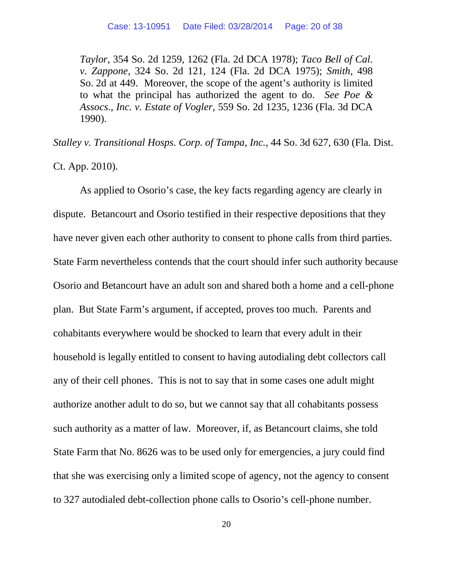*Taylor*, 354 So. 2d 1259, 1262 (Fla. 2d DCA 1978); *Taco Bell of Cal. v. Zappone*, 324 So. 2d 121, 124 (Fla. 2d DCA 1975); *Smith*, 498 So. 2d at 449. Moreover, the scope of the agent's authority is limited to what the principal has authorized the agent to do. *See Poe & Assocs., Inc. v. Estate of Vogler*, 559 So. 2d 1235, 1236 (Fla. 3d DCA 1990).

*Stalley v. Transitional Hosps. Corp. of Tampa, Inc.*, 44 So. 3d 627, 630 (Fla. Dist.

Ct. App. 2010).

As applied to Osorio's case, the key facts regarding agency are clearly in dispute. Betancourt and Osorio testified in their respective depositions that they have never given each other authority to consent to phone calls from third parties. State Farm nevertheless contends that the court should infer such authority because Osorio and Betancourt have an adult son and shared both a home and a cell-phone plan. But State Farm's argument, if accepted, proves too much. Parents and cohabitants everywhere would be shocked to learn that every adult in their household is legally entitled to consent to having autodialing debt collectors call any of their cell phones. This is not to say that in some cases one adult might authorize another adult to do so, but we cannot say that all cohabitants possess such authority as a matter of law. Moreover, if, as Betancourt claims, she told State Farm that No. 8626 was to be used only for emergencies, a jury could find that she was exercising only a limited scope of agency, not the agency to consent to 327 autodialed debt-collection phone calls to Osorio's cell-phone number.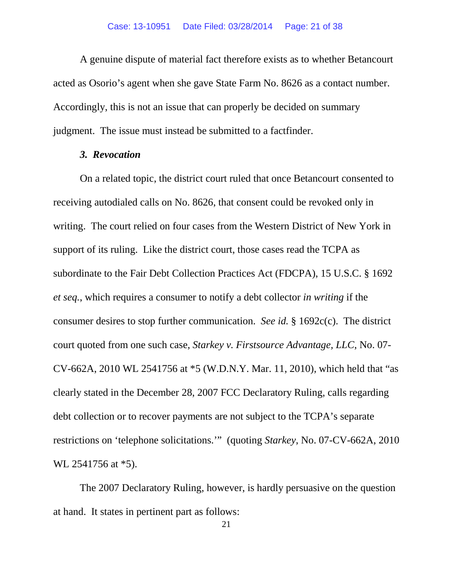A genuine dispute of material fact therefore exists as to whether Betancourt acted as Osorio's agent when she gave State Farm No. 8626 as a contact number. Accordingly, this is not an issue that can properly be decided on summary judgment. The issue must instead be submitted to a factfinder.

### *3. Revocation*

On a related topic, the district court ruled that once Betancourt consented to receiving autodialed calls on No. 8626, that consent could be revoked only in writing. The court relied on four cases from the Western District of New York in support of its ruling. Like the district court, those cases read the TCPA as subordinate to the Fair Debt Collection Practices Act (FDCPA), 15 U.S.C. § 1692 *et seq.*, which requires a consumer to notify a debt collector *in writing* if the consumer desires to stop further communication. *See id.* § 1692c(c). The district court quoted from one such case, *Starkey v. Firstsource Advantage, LLC*, No. 07- CV-662A, 2010 WL 2541756 at \*5 (W.D.N.Y. Mar. 11, 2010), which held that "as clearly stated in the December 28, 2007 FCC Declaratory Ruling, calls regarding debt collection or to recover payments are not subject to the TCPA's separate restrictions on 'telephone solicitations.'" (quoting *Starkey*, No. 07-CV-662A, 2010 WL 2541756 at \*5).

The 2007 Declaratory Ruling, however, is hardly persuasive on the question at hand. It states in pertinent part as follows: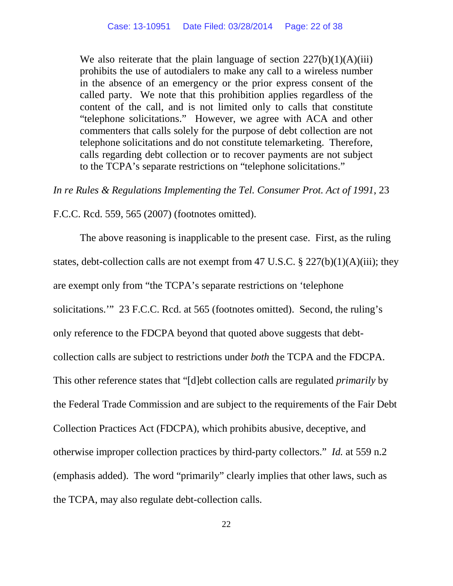We also reiterate that the plain language of section  $227(b)(1)(A)(iii)$ prohibits the use of autodialers to make any call to a wireless number in the absence of an emergency or the prior express consent of the called party. We note that this prohibition applies regardless of the content of the call, and is not limited only to calls that constitute "telephone solicitations." However, we agree with ACA and other commenters that calls solely for the purpose of debt collection are not telephone solicitations and do not constitute telemarketing. Therefore, calls regarding debt collection or to recover payments are not subject to the TCPA's separate restrictions on "telephone solicitations."

*In re Rules & Regulations Implementing the Tel. Consumer Prot. Act of 1991*, 23

F.C.C. Rcd. 559, 565 (2007) (footnotes omitted).

The above reasoning is inapplicable to the present case. First, as the ruling states, debt-collection calls are not exempt from 47 U.S.C. § 227(b)(1)(A)(iii); they are exempt only from "the TCPA's separate restrictions on 'telephone solicitations.'" 23 F.C.C. Rcd. at 565 (footnotes omitted). Second, the ruling's only reference to the FDCPA beyond that quoted above suggests that debtcollection calls are subject to restrictions under *both* the TCPA and the FDCPA. This other reference states that "[d]ebt collection calls are regulated *primarily* by the Federal Trade Commission and are subject to the requirements of the Fair Debt Collection Practices Act (FDCPA), which prohibits abusive, deceptive, and otherwise improper collection practices by third-party collectors." *Id.* at 559 n.2 (emphasis added). The word "primarily" clearly implies that other laws, such as the TCPA, may also regulate debt-collection calls.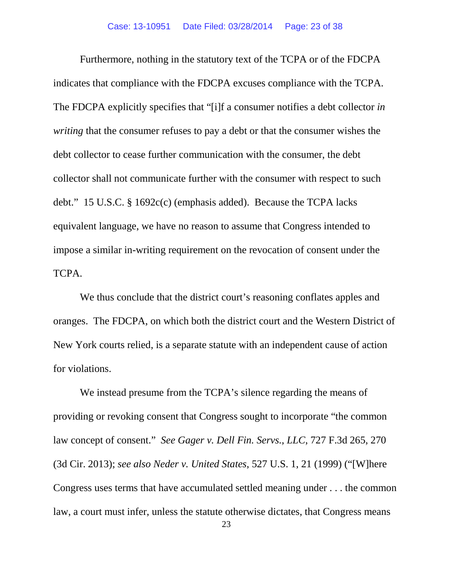Furthermore, nothing in the statutory text of the TCPA or of the FDCPA indicates that compliance with the FDCPA excuses compliance with the TCPA. The FDCPA explicitly specifies that "[i]f a consumer notifies a debt collector *in writing* that the consumer refuses to pay a debt or that the consumer wishes the debt collector to cease further communication with the consumer, the debt collector shall not communicate further with the consumer with respect to such debt." 15 U.S.C. § 1692c(c) (emphasis added). Because the TCPA lacks equivalent language, we have no reason to assume that Congress intended to impose a similar in-writing requirement on the revocation of consent under the TCPA.

We thus conclude that the district court's reasoning conflates apples and oranges. The FDCPA, on which both the district court and the Western District of New York courts relied, is a separate statute with an independent cause of action for violations.

We instead presume from the TCPA's silence regarding the means of providing or revoking consent that Congress sought to incorporate "the common law concept of consent." *See Gager v. Dell Fin. Servs., LLC*, 727 F.3d 265, 270 (3d Cir. 2013); *see also Neder v. United States*, 527 U.S. 1, 21 (1999) ("[W]here Congress uses terms that have accumulated settled meaning under . . . the common law, a court must infer, unless the statute otherwise dictates, that Congress means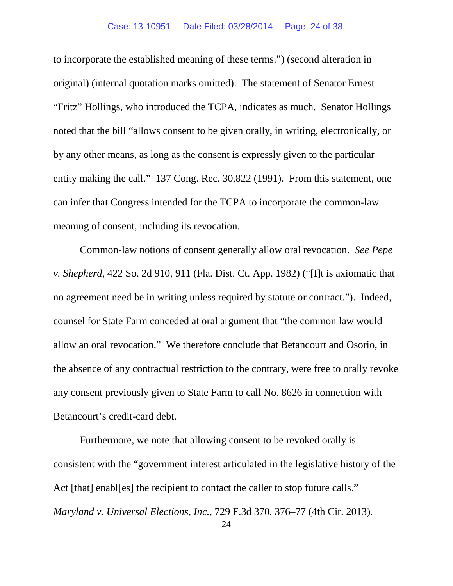to incorporate the established meaning of these terms.") (second alteration in original) (internal quotation marks omitted). The statement of Senator Ernest "Fritz" Hollings, who introduced the TCPA, indicates as much. Senator Hollings noted that the bill "allows consent to be given orally, in writing, electronically, or by any other means, as long as the consent is expressly given to the particular entity making the call." 137 Cong. Rec. 30,822 (1991). From this statement, one can infer that Congress intended for the TCPA to incorporate the common-law meaning of consent, including its revocation.

Common-law notions of consent generally allow oral revocation. *See Pepe v. Shepherd*, 422 So. 2d 910, 911 (Fla. Dist. Ct. App. 1982) ("[I]t is axiomatic that no agreement need be in writing unless required by statute or contract."). Indeed, counsel for State Farm conceded at oral argument that "the common law would allow an oral revocation." We therefore conclude that Betancourt and Osorio, in the absence of any contractual restriction to the contrary, were free to orally revoke any consent previously given to State Farm to call No. 8626 in connection with Betancourt's credit-card debt.

Furthermore, we note that allowing consent to be revoked orally is consistent with the "government interest articulated in the legislative history of the Act [that] enables] the recipient to contact the caller to stop future calls." *Maryland v. Universal Elections, Inc.*, 729 F.3d 370, 376–77 (4th Cir. 2013).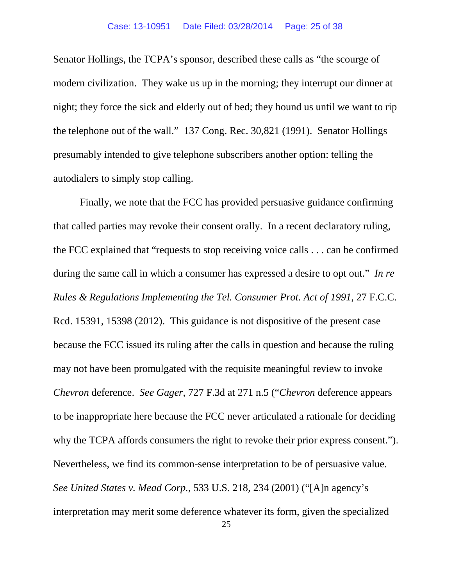Senator Hollings, the TCPA's sponsor, described these calls as "the scourge of modern civilization. They wake us up in the morning; they interrupt our dinner at night; they force the sick and elderly out of bed; they hound us until we want to rip the telephone out of the wall." 137 Cong. Rec. 30,821 (1991). Senator Hollings presumably intended to give telephone subscribers another option: telling the autodialers to simply stop calling.

Finally, we note that the FCC has provided persuasive guidance confirming that called parties may revoke their consent orally. In a recent declaratory ruling, the FCC explained that "requests to stop receiving voice calls . . . can be confirmed during the same call in which a consumer has expressed a desire to opt out." *In re Rules & Regulations Implementing the Tel. Consumer Prot. Act of 1991*, 27 F.C.C. Rcd. 15391, 15398 (2012). This guidance is not dispositive of the present case because the FCC issued its ruling after the calls in question and because the ruling may not have been promulgated with the requisite meaningful review to invoke *Chevron* deference. *See Gager*, 727 F.3d at 271 n.5 ("*Chevron* deference appears to be inappropriate here because the FCC never articulated a rationale for deciding why the TCPA affords consumers the right to revoke their prior express consent."). Nevertheless, we find its common-sense interpretation to be of persuasive value. *See United States v. Mead Corp.*, 533 U.S. 218, 234 (2001) ("[A]n agency's interpretation may merit some deference whatever its form, given the specialized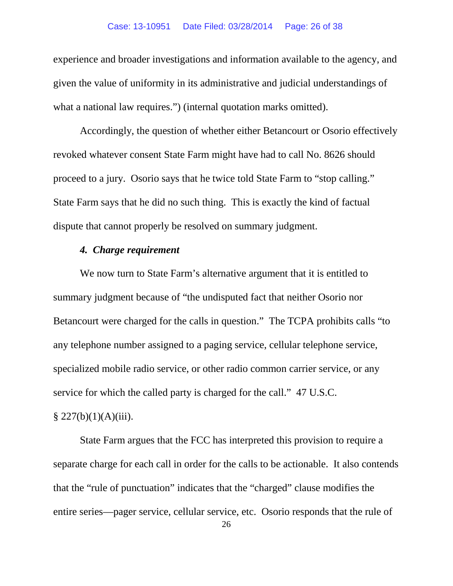experience and broader investigations and information available to the agency, and given the value of uniformity in its administrative and judicial understandings of what a national law requires.") (internal quotation marks omitted).

Accordingly, the question of whether either Betancourt or Osorio effectively revoked whatever consent State Farm might have had to call No. 8626 should proceed to a jury. Osorio says that he twice told State Farm to "stop calling." State Farm says that he did no such thing. This is exactly the kind of factual dispute that cannot properly be resolved on summary judgment.

## *4. Charge requirement*

We now turn to State Farm's alternative argument that it is entitled to summary judgment because of "the undisputed fact that neither Osorio nor Betancourt were charged for the calls in question." The TCPA prohibits calls "to any telephone number assigned to a paging service, cellular telephone service, specialized mobile radio service, or other radio common carrier service, or any service for which the called party is charged for the call." 47 U.S.C.  $§ 227(b)(1)(A)(iii).$ 

State Farm argues that the FCC has interpreted this provision to require a separate charge for each call in order for the calls to be actionable. It also contends that the "rule of punctuation" indicates that the "charged" clause modifies the entire series—pager service, cellular service, etc. Osorio responds that the rule of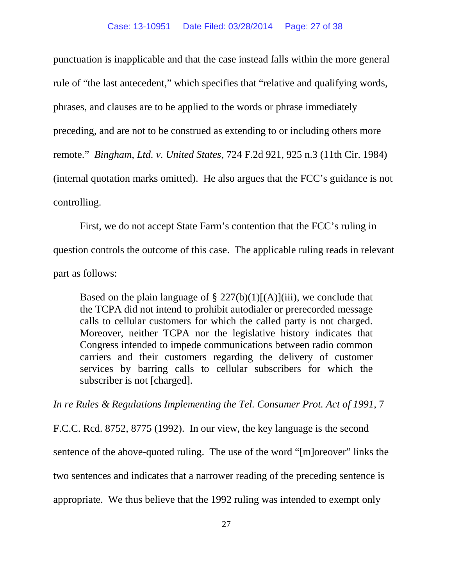punctuation is inapplicable and that the case instead falls within the more general rule of "the last antecedent," which specifies that "relative and qualifying words, phrases, and clauses are to be applied to the words or phrase immediately preceding, and are not to be construed as extending to or including others more remote." *Bingham, Ltd. v. United States*, 724 F.2d 921, 925 n.3 (11th Cir. 1984) (internal quotation marks omitted). He also argues that the FCC's guidance is not controlling.

First, we do not accept State Farm's contention that the FCC's ruling in question controls the outcome of this case. The applicable ruling reads in relevant part as follows:

Based on the plain language of  $\S 227(b)(1)[(A)](iii)$ , we conclude that the TCPA did not intend to prohibit autodialer or prerecorded message calls to cellular customers for which the called party is not charged. Moreover, neither TCPA nor the legislative history indicates that Congress intended to impede communications between radio common carriers and their customers regarding the delivery of customer services by barring calls to cellular subscribers for which the subscriber is not [charged].

*In re Rules & Regulations Implementing the Tel. Consumer Prot. Act of 1991*, 7

F.C.C. Rcd. 8752, 8775 (1992). In our view, the key language is the second sentence of the above-quoted ruling. The use of the word "[m]oreover" links the two sentences and indicates that a narrower reading of the preceding sentence is appropriate. We thus believe that the 1992 ruling was intended to exempt only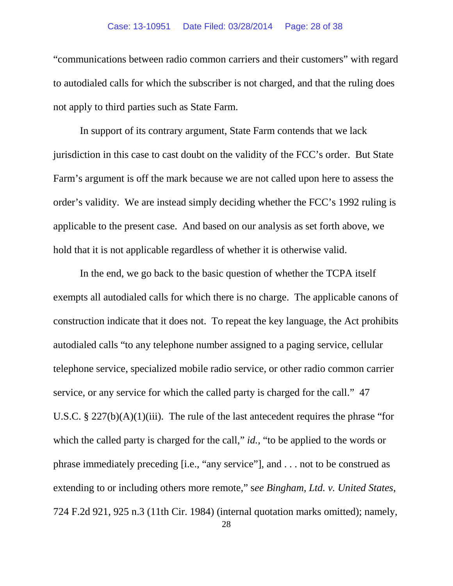"communications between radio common carriers and their customers" with regard to autodialed calls for which the subscriber is not charged, and that the ruling does not apply to third parties such as State Farm.

In support of its contrary argument, State Farm contends that we lack jurisdiction in this case to cast doubt on the validity of the FCC's order. But State Farm's argument is off the mark because we are not called upon here to assess the order's validity. We are instead simply deciding whether the FCC's 1992 ruling is applicable to the present case. And based on our analysis as set forth above, we hold that it is not applicable regardless of whether it is otherwise valid.

In the end, we go back to the basic question of whether the TCPA itself exempts all autodialed calls for which there is no charge. The applicable canons of construction indicate that it does not. To repeat the key language, the Act prohibits autodialed calls "to any telephone number assigned to a paging service, cellular telephone service, specialized mobile radio service, or other radio common carrier service, or any service for which the called party is charged for the call." 47 U.S.C. § 227(b)(A)(1)(iii). The rule of the last antecedent requires the phrase "for which the called party is charged for the call," *id.*, "to be applied to the words or phrase immediately preceding [i.e., "any service"], and . . . not to be construed as extending to or including others more remote," s*ee Bingham, Ltd. v. United States*, 724 F.2d 921, 925 n.3 (11th Cir. 1984) (internal quotation marks omitted); namely,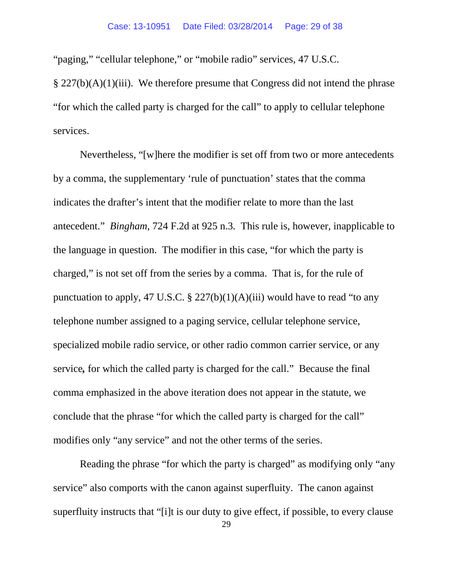"paging," "cellular telephone," or "mobile radio" services, 47 U.S.C.

 $\S 227(b)(A)(1)(iii)$ . We therefore presume that Congress did not intend the phrase "for which the called party is charged for the call" to apply to cellular telephone services.

Nevertheless, "[w]here the modifier is set off from two or more antecedents by a comma, the supplementary 'rule of punctuation' states that the comma indicates the drafter's intent that the modifier relate to more than the last antecedent." *Bingham*, 724 F.2d at 925 n.3*.* This rule is, however, inapplicable to the language in question. The modifier in this case, "for which the party is charged," is not set off from the series by a comma. That is, for the rule of punctuation to apply, 47 U.S.C. § 227(b)(1)(A)(iii) would have to read "to any telephone number assigned to a paging service, cellular telephone service, specialized mobile radio service, or other radio common carrier service, or any service*,* for which the called party is charged for the call." Because the final comma emphasized in the above iteration does not appear in the statute, we conclude that the phrase "for which the called party is charged for the call" modifies only "any service" and not the other terms of the series.

Reading the phrase "for which the party is charged" as modifying only "any" service" also comports with the canon against superfluity. The canon against superfluity instructs that "[i]t is our duty to give effect, if possible, to every clause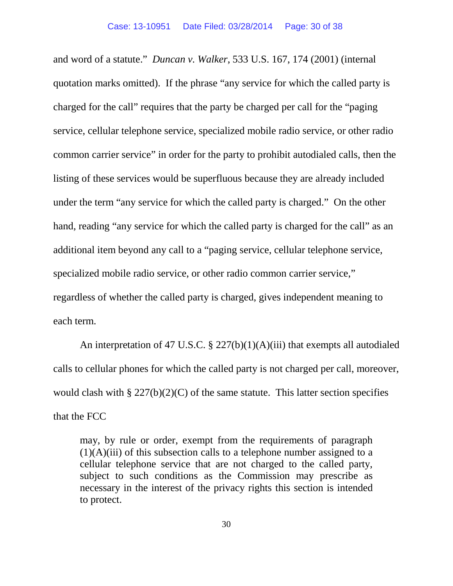and word of a statute." *Duncan v. Walker*, 533 U.S. 167, 174 (2001) (internal quotation marks omitted). If the phrase "any service for which the called party is charged for the call" requires that the party be charged per call for the "paging service, cellular telephone service, specialized mobile radio service, or other radio common carrier service" in order for the party to prohibit autodialed calls, then the listing of these services would be superfluous because they are already included under the term "any service for which the called party is charged." On the other hand, reading "any service for which the called party is charged for the call" as an additional item beyond any call to a "paging service, cellular telephone service, specialized mobile radio service, or other radio common carrier service," regardless of whether the called party is charged, gives independent meaning to each term.

An interpretation of 47 U.S.C. § 227(b)(1)(A)(iii) that exempts all autodialed calls to cellular phones for which the called party is not charged per call, moreover, would clash with  $\S 227(b)(2)(C)$  of the same statute. This latter section specifies that the FCC

may, by rule or order, exempt from the requirements of paragraph (1)(A)(iii) of this subsection calls to a telephone number assigned to a cellular telephone service that are not charged to the called party, subject to such conditions as the Commission may prescribe as necessary in the interest of the privacy rights this section is intended to protect.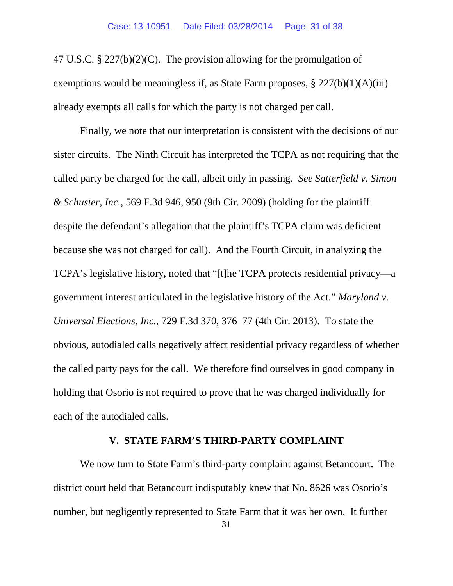47 U.S.C. § 227(b)(2)(C). The provision allowing for the promulgation of exemptions would be meaningless if, as State Farm proposes,  $\S 227(b)(1)(A)(iii)$ already exempts all calls for which the party is not charged per call.

Finally, we note that our interpretation is consistent with the decisions of our sister circuits. The Ninth Circuit has interpreted the TCPA as not requiring that the called party be charged for the call, albeit only in passing. *See Satterfield v. Simon & Schuster, Inc.*, 569 F.3d 946, 950 (9th Cir. 2009) (holding for the plaintiff despite the defendant's allegation that the plaintiff's TCPA claim was deficient because she was not charged for call). And the Fourth Circuit, in analyzing the TCPA's legislative history, noted that "[t]he TCPA protects residential privacy—a government interest articulated in the legislative history of the Act." *Maryland v. Universal Elections, Inc.*, 729 F.3d 370, 376–77 (4th Cir. 2013). To state the obvious, autodialed calls negatively affect residential privacy regardless of whether the called party pays for the call. We therefore find ourselves in good company in holding that Osorio is not required to prove that he was charged individually for each of the autodialed calls.

## **V. STATE FARM'S THIRD-PARTY COMPLAINT**

We now turn to State Farm's third-party complaint against Betancourt. The district court held that Betancourt indisputably knew that No. 8626 was Osorio's number, but negligently represented to State Farm that it was her own. It further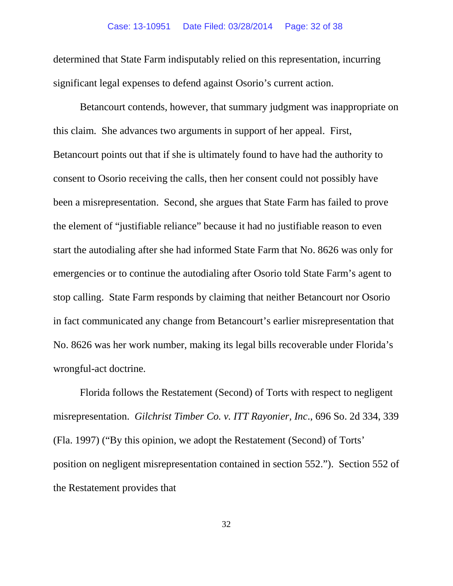determined that State Farm indisputably relied on this representation, incurring significant legal expenses to defend against Osorio's current action.

Betancourt contends, however, that summary judgment was inappropriate on this claim. She advances two arguments in support of her appeal. First, Betancourt points out that if she is ultimately found to have had the authority to consent to Osorio receiving the calls, then her consent could not possibly have been a misrepresentation. Second, she argues that State Farm has failed to prove the element of "justifiable reliance" because it had no justifiable reason to even start the autodialing after she had informed State Farm that No. 8626 was only for emergencies or to continue the autodialing after Osorio told State Farm's agent to stop calling. State Farm responds by claiming that neither Betancourt nor Osorio in fact communicated any change from Betancourt's earlier misrepresentation that No. 8626 was her work number, making its legal bills recoverable under Florida's wrongful-act doctrine.

Florida follows the Restatement (Second) of Torts with respect to negligent misrepresentation. *Gilchrist Timber Co. v. ITT Rayonier, Inc*., 696 So. 2d 334, 339 (Fla. 1997) ("By this opinion, we adopt the Restatement (Second) of Torts' position on negligent misrepresentation contained in section 552."). Section 552 of the Restatement provides that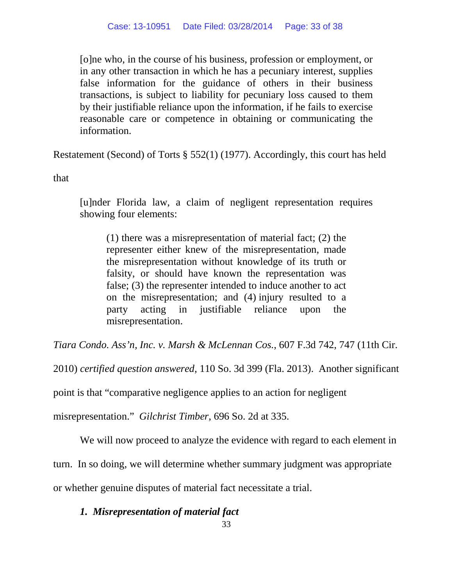[o]ne who, in the course of his business, profession or employment, or in any other transaction in which he has a pecuniary interest, supplies false information for the guidance of others in their business transactions, is subject to liability for pecuniary loss caused to them by their justifiable reliance upon the information, if he fails to exercise reasonable care or competence in obtaining or communicating the information.

Restatement (Second) of Torts § 552(1) (1977). Accordingly, this court has held

that

[u]nder Florida law, a claim of negligent representation requires showing four elements:

(1) there was a misrepresentation of material fact; (2) the representer either knew of the misrepresentation, made the misrepresentation without knowledge of its truth or falsity, or should have known the representation was false; (3) the representer intended to induce another to act on the misrepresentation; and (4) injury resulted to a party acting in justifiable reliance upon the misrepresentation.

*Tiara Condo. Ass'n, Inc. v. Marsh & McLennan Cos.*, 607 F.3d 742, 747 (11th Cir.

2010) *certified question answered*, 110 So. 3d 399 (Fla. 2013). Another significant

point is that "comparative negligence applies to an action for negligent

misrepresentation." *Gilchrist Timber*, 696 So. 2d at 335.

We will now proceed to analyze the evidence with regard to each element in

turn. In so doing, we will determine whether summary judgment was appropriate

or whether genuine disputes of material fact necessitate a trial.

## *1. Misrepresentation of material fact*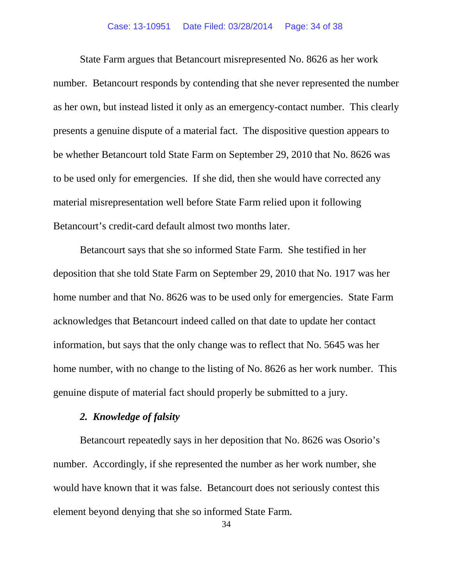State Farm argues that Betancourt misrepresented No. 8626 as her work number. Betancourt responds by contending that she never represented the number as her own, but instead listed it only as an emergency-contact number. This clearly presents a genuine dispute of a material fact. The dispositive question appears to be whether Betancourt told State Farm on September 29, 2010 that No. 8626 was to be used only for emergencies. If she did, then she would have corrected any material misrepresentation well before State Farm relied upon it following Betancourt's credit-card default almost two months later.

Betancourt says that she so informed State Farm. She testified in her deposition that she told State Farm on September 29, 2010 that No. 1917 was her home number and that No. 8626 was to be used only for emergencies. State Farm acknowledges that Betancourt indeed called on that date to update her contact information, but says that the only change was to reflect that No. 5645 was her home number, with no change to the listing of No. 8626 as her work number. This genuine dispute of material fact should properly be submitted to a jury.

### *2. Knowledge of falsity*

Betancourt repeatedly says in her deposition that No. 8626 was Osorio's number. Accordingly, if she represented the number as her work number, she would have known that it was false. Betancourt does not seriously contest this element beyond denying that she so informed State Farm.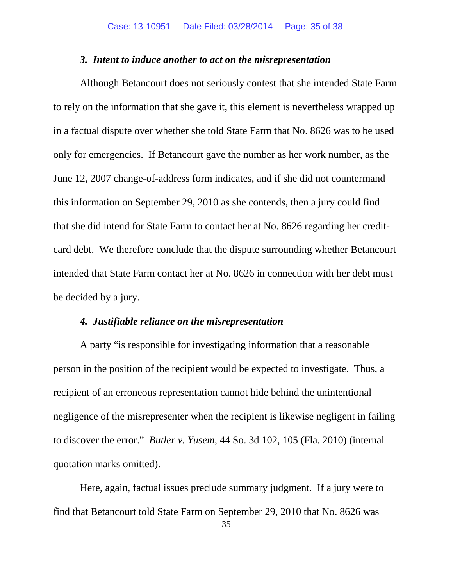#### *3. Intent to induce another to act on the misrepresentation*

Although Betancourt does not seriously contest that she intended State Farm to rely on the information that she gave it, this element is nevertheless wrapped up in a factual dispute over whether she told State Farm that No. 8626 was to be used only for emergencies. If Betancourt gave the number as her work number, as the June 12, 2007 change-of-address form indicates, and if she did not countermand this information on September 29, 2010 as she contends, then a jury could find that she did intend for State Farm to contact her at No. 8626 regarding her creditcard debt. We therefore conclude that the dispute surrounding whether Betancourt intended that State Farm contact her at No. 8626 in connection with her debt must be decided by a jury.

#### *4. Justifiable reliance on the misrepresentation*

A party "is responsible for investigating information that a reasonable person in the position of the recipient would be expected to investigate. Thus, a recipient of an erroneous representation cannot hide behind the unintentional negligence of the misrepresenter when the recipient is likewise negligent in failing to discover the error." *Butler v. Yusem*, 44 So. 3d 102, 105 (Fla. 2010) (internal quotation marks omitted).

Here, again, factual issues preclude summary judgment. If a jury were to find that Betancourt told State Farm on September 29, 2010 that No. 8626 was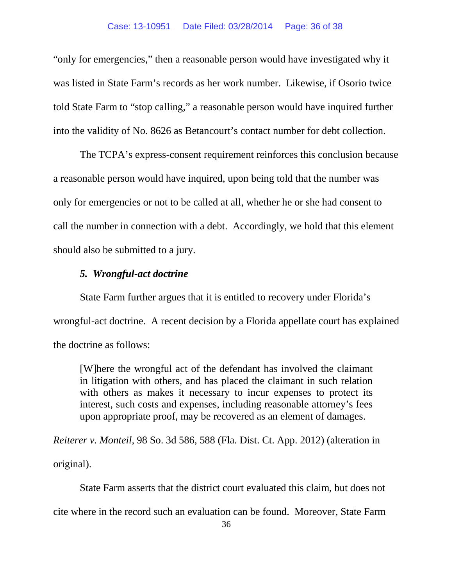"only for emergencies," then a reasonable person would have investigated why it was listed in State Farm's records as her work number. Likewise, if Osorio twice told State Farm to "stop calling," a reasonable person would have inquired further into the validity of No. 8626 as Betancourt's contact number for debt collection.

The TCPA's express-consent requirement reinforces this conclusion because a reasonable person would have inquired, upon being told that the number was only for emergencies or not to be called at all, whether he or she had consent to call the number in connection with a debt. Accordingly, we hold that this element should also be submitted to a jury.

# *5. Wrongful-act doctrine*

State Farm further argues that it is entitled to recovery under Florida's wrongful-act doctrine. A recent decision by a Florida appellate court has explained the doctrine as follows:

[W]here the wrongful act of the defendant has involved the claimant in litigation with others, and has placed the claimant in such relation with others as makes it necessary to incur expenses to protect its interest, such costs and expenses, including reasonable attorney's fees upon appropriate proof, may be recovered as an element of damages.

*Reiterer v. Monteil*, 98 So. 3d 586, 588 (Fla. Dist. Ct. App. 2012) (alteration in original).

State Farm asserts that the district court evaluated this claim, but does not cite where in the record such an evaluation can be found. Moreover, State Farm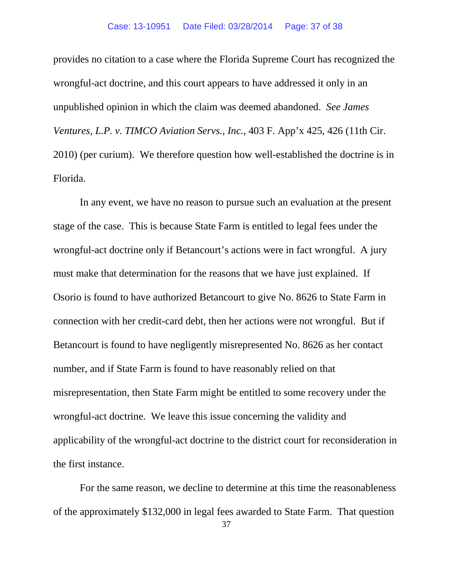provides no citation to a case where the Florida Supreme Court has recognized the wrongful-act doctrine, and this court appears to have addressed it only in an unpublished opinion in which the claim was deemed abandoned. *See James Ventures, L.P. v. TIMCO Aviation Servs., Inc.*, 403 F. App'x 425, 426 (11th Cir. 2010) (per curium). We therefore question how well-established the doctrine is in Florida.

In any event, we have no reason to pursue such an evaluation at the present stage of the case. This is because State Farm is entitled to legal fees under the wrongful-act doctrine only if Betancourt's actions were in fact wrongful. A jury must make that determination for the reasons that we have just explained. If Osorio is found to have authorized Betancourt to give No. 8626 to State Farm in connection with her credit-card debt, then her actions were not wrongful. But if Betancourt is found to have negligently misrepresented No. 8626 as her contact number, and if State Farm is found to have reasonably relied on that misrepresentation, then State Farm might be entitled to some recovery under the wrongful-act doctrine. We leave this issue concerning the validity and applicability of the wrongful-act doctrine to the district court for reconsideration in the first instance.

For the same reason, we decline to determine at this time the reasonableness of the approximately \$132,000 in legal fees awarded to State Farm. That question